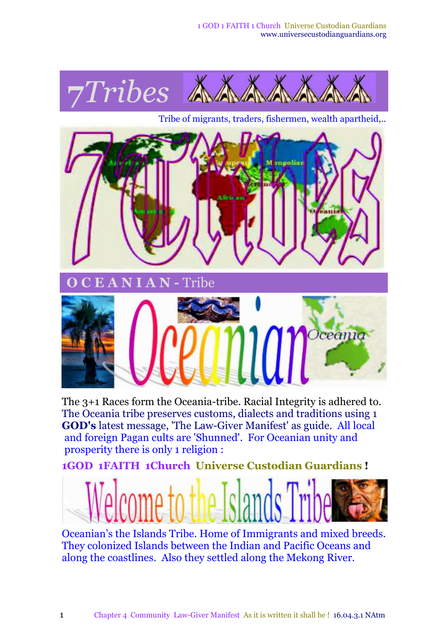

The 3+1 Races form the Oceania-tribe. Racial Integrity is adhered to. The Oceania tribe preserves customs, dialects and traditions using 1 **GOD's** latest message, 'The Law-Giver Manifest' as guide. All local and foreign Pagan cults are 'Shunned'. For Oceanian unity and prosperity there is only 1 religion :

**1GOD 1FAITH 1Church Universe Custodian Guardians !**



Oceanian's the Islands Tribe. Home of Immigrants and mixed breeds. They colonized Islands between the Indian and Pacific Oceans and along the coastlines. Also they settled along the Mekong River.